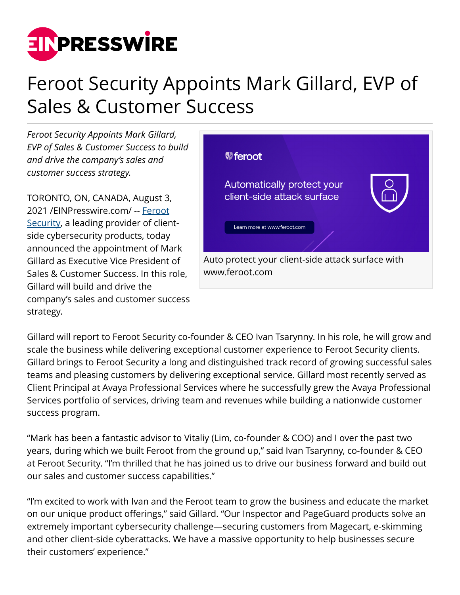

## Feroot Security Appoints Mark Gillard, EVP of Sales & Customer Success

*Feroot Security Appoints Mark Gillard, EVP of Sales & Customer Success to build and drive the company's sales and customer success strategy.*

TORONTO, ON, CANADA, August 3, 2021 /[EINPresswire.com](http://www.einpresswire.com)/ -- [Feroot](http://www.Feroot.com) [Security,](http://www.Feroot.com) a leading provider of clientside cybersecurity products, today announced the appointment of Mark Gillard as Executive Vice President of Sales & Customer Success. In this role, Gillard will build and drive the company's sales and customer success strategy.



Gillard will report to Feroot Security co-founder & CEO Ivan Tsarynny. In his role, he will grow and scale the business while delivering exceptional customer experience to Feroot Security clients. Gillard brings to Feroot Security a long and distinguished track record of growing successful sales teams and pleasing customers by delivering exceptional service. Gillard most recently served as Client Principal at Avaya Professional Services where he successfully grew the Avaya Professional Services portfolio of services, driving team and revenues while building a nationwide customer success program.

"Mark has been a fantastic advisor to Vitaliy (Lim, co-founder & COO) and I over the past two years, during which we built Feroot from the ground up," said Ivan Tsarynny, co-founder & CEO at Feroot Security. "I'm thrilled that he has joined us to drive our business forward and build out our sales and customer success capabilities."

"I'm excited to work with Ivan and the Feroot team to grow the business and educate the market on our unique product offerings," said Gillard. "Our Inspector and PageGuard products solve an extremely important cybersecurity challenge—securing customers from Magecart, e-skimming and other client-side cyberattacks. We have a massive opportunity to help businesses secure their customers' experience."